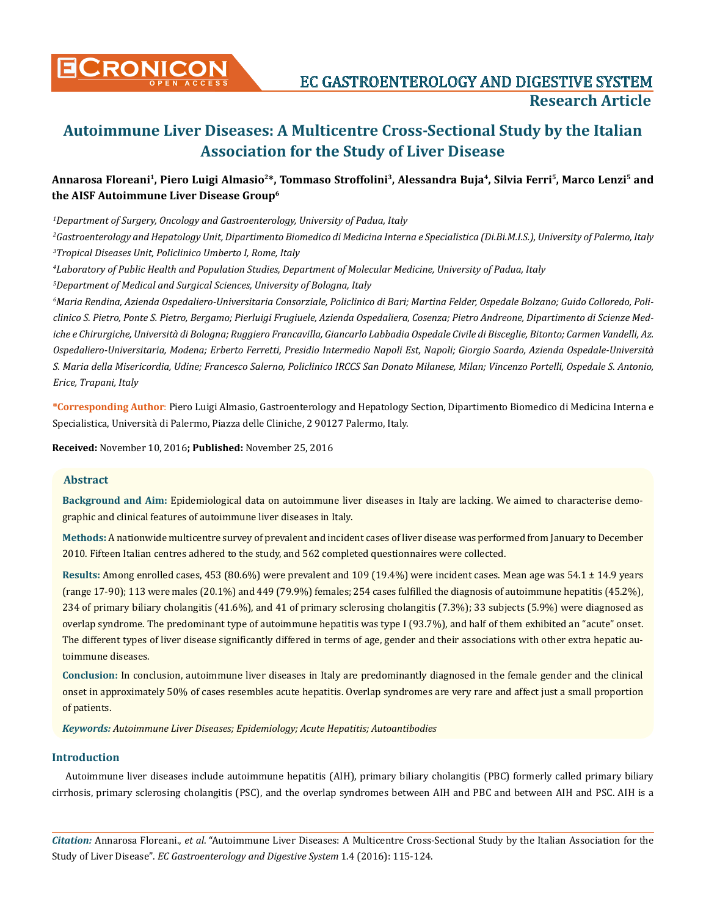

**CRONICON** EC GASTROENTEROLOGY AND DIGESTIVE SYSTEM **Research Article**

# **Autoimmune Liver Diseases: A Multicentre Cross-Sectional Study by the Italian Association for the Study of Liver Disease**

## **Annarosa Floreani1, Piero Luigi Almasio2\*, Tommaso Stroffolini3, Alessandra Buja4, Silvia Ferri5, Marco Lenzi5 and the AISF Autoimmune Liver Disease Group6**

*1 Department of Surgery, Oncology and Gastroenterology, University of Padua, Italy*

*2 Gastroenterology and Hepatology Unit, Dipartimento Biomedico di Medicina Interna e Specialistica (Di.Bi.M.I.S.), University of Palermo, Italy 3 Tropical Diseases Unit, Policlinico Umberto I, Rome, Italy*

*4 Laboratory of Public Health and Population Studies, Department of Molecular Medicine, University of Padua, Italy*

*5 Department of Medical and Surgical Sciences, University of Bologna, Italy*

*6 Maria Rendina, Azienda Ospedaliero-Universitaria Consorziale, Policlinico di Bari; Martina Felder, Ospedale Bolzano; Guido Colloredo, Policlinico S. Pietro, Ponte S. Pietro, Bergamo; Pierluigi Frugiuele, Azienda Ospedaliera, Cosenza; Pietro Andreone, Dipartimento di Scienze Mediche e Chirurgiche, Università di Bologna; Ruggiero Francavilla, Giancarlo Labbadia Ospedale Civile di Bisceglie, Bitonto; Carmen Vandelli, Az. Ospedaliero-Universitaria, Modena; Erberto Ferretti, Presidio Intermedio Napoli Est, Napoli; Giorgio Soardo, Azienda Ospedale-Università S. Maria della Misericordia, Udine; Francesco Salerno, Policlinico IRCCS San Donato Milanese, Milan; Vincenzo Portelli, Ospedale S. Antonio, Erice, Trapani, Italy*

**\*Corresponding Author**: Piero Luigi Almasio, Gastroenterology and Hepatology Section, Dipartimento Biomedico di Medicina Interna e Specialistica, Università di Palermo, Piazza delle Cliniche, 2 90127 Palermo, Italy.

**Received:** November 10, 2016**; Published:** November 25, 2016

#### **Abstract**

**Background and Aim:** Epidemiological data on autoimmune liver diseases in Italy are lacking. We aimed to characterise demographic and clinical features of autoimmune liver diseases in Italy.

**Methods:** A nationwide multicentre survey of prevalent and incident cases of liver disease was performed from January to December 2010. Fifteen Italian centres adhered to the study, and 562 completed questionnaires were collected.

**Results:** Among enrolled cases, 453 (80.6%) were prevalent and 109 (19.4%) were incident cases. Mean age was 54.1 ± 14.9 years (range 17-90); 113 were males (20.1%) and 449 (79.9%) females; 254 cases fulfilled the diagnosis of autoimmune hepatitis (45.2%), 234 of primary biliary cholangitis (41.6%), and 41 of primary sclerosing cholangitis (7.3%); 33 subjects (5.9%) were diagnosed as overlap syndrome. The predominant type of autoimmune hepatitis was type I (93.7%), and half of them exhibited an "acute" onset. The different types of liver disease significantly differed in terms of age, gender and their associations with other extra hepatic autoimmune diseases.

**Conclusion:** In conclusion, autoimmune liver diseases in Italy are predominantly diagnosed in the female gender and the clinical onset in approximately 50% of cases resembles acute hepatitis. Overlap syndromes are very rare and affect just a small proportion of patients.

*Keywords: Autoimmune Liver Diseases; Epidemiology; Acute Hepatitis; Autoantibodies*

## **Introduction**

Autoimmune liver diseases include autoimmune hepatitis (AIH), primary biliary cholangitis (PBC) formerly called primary biliary cirrhosis, primary sclerosing cholangitis (PSC), and the overlap syndromes between AIH and PBC and between AIH and PSC. AIH is a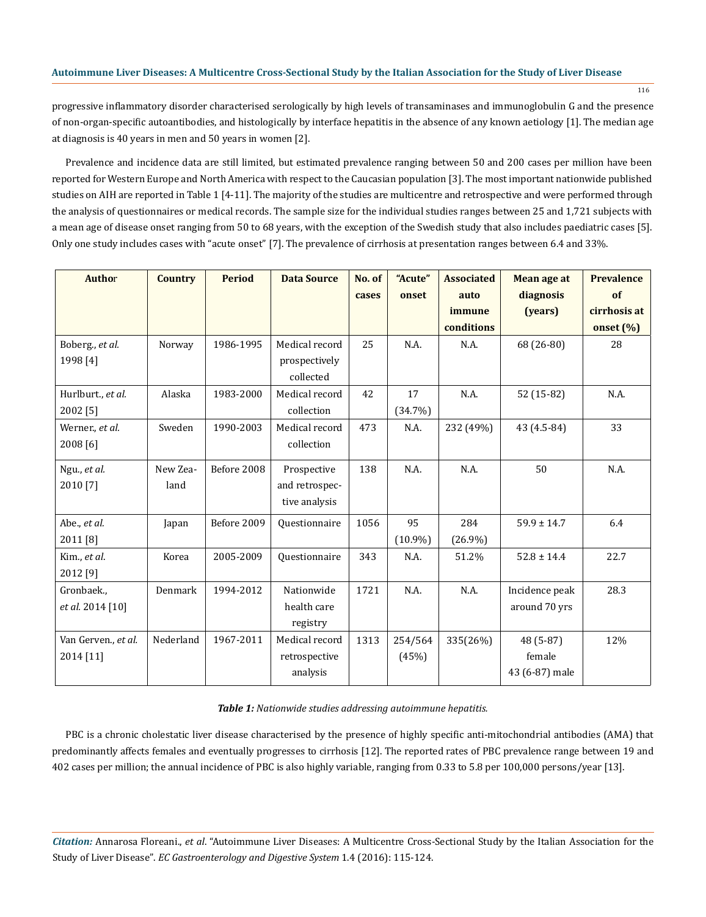116

progressive inflammatory disorder characterised serologically by high levels of transaminases and immunoglobulin G and the presence of non-organ-specific autoantibodies, and histologically by interface hepatitis in the absence of any known aetiology [1]. The median age at diagnosis is 40 years in men and 50 years in women [2].

Prevalence and incidence data are still limited, but estimated prevalence ranging between 50 and 200 cases per million have been reported for Western Europe and North America with respect to the Caucasian population [3]. The most important nationwide published studies on AIH are reported in Table 1 [4-11]. The majority of the studies are multicentre and retrospective and were performed through the analysis of questionnaires or medical records. The sample size for the individual studies ranges between 25 and 1,721 subjects with a mean age of disease onset ranging from 50 to 68 years, with the exception of the Swedish study that also includes paediatric cases [5]. Only one study includes cases with "acute onset" [7]. The prevalence of cirrhosis at presentation ranges between 6.4 and 33%.

| Author                      | <b>Country</b> | <b>Period</b> | <b>Data Source</b>                           | No. of<br>cases | "Acute"<br>onset | <b>Associated</b><br>auto | Mean age at<br>diagnosis | <b>Prevalence</b><br>of |
|-----------------------------|----------------|---------------|----------------------------------------------|-----------------|------------------|---------------------------|--------------------------|-------------------------|
|                             |                |               |                                              |                 |                  | immune                    | (years)                  | cirrhosis at            |
|                             |                |               |                                              |                 |                  | conditions                |                          | onset $(\%)$            |
| Boberg., et al.<br>1998 [4] | Norway         | 1986-1995     | Medical record<br>prospectively<br>collected | 25              | N.A.             | N.A.                      | 68 (26-80)               | 28                      |
| Hurlburt., et al.           | Alaska         | 1983-2000     | Medical record                               | 42              | 17               | N.A.                      | 52 (15-82)               | N.A.                    |
| 2002 [5]                    |                |               | collection                                   |                 | (34.7%)          |                           |                          |                         |
| Werner., et al.<br>2008 [6] | Sweden         | 1990-2003     | Medical record<br>collection                 | 473             | N.A.             | 232 (49%)                 | 43 (4.5-84)              | 33                      |
| Ngu., et al.                | New Zea-       | Before 2008   | Prospective                                  | 138             | N.A.             | N.A.                      | 50                       | N.A.                    |
| 2010 [7]                    | land           |               | and retrospec-                               |                 |                  |                           |                          |                         |
|                             |                |               | tive analysis                                |                 |                  |                           |                          |                         |
| Abe., et al.                | Japan          | Before 2009   | Questionnaire                                | 1056            | 95               | 284                       | $59.9 \pm 14.7$          | 6.4                     |
| 2011 [8]                    |                |               |                                              |                 | $(10.9\%)$       | $(26.9\%)$                |                          |                         |
| Kim., et al.                | Korea          | 2005-2009     | Questionnaire                                | 343             | N.A.             | 51.2%                     | $52.8 \pm 14.4$          | 22.7                    |
| 2012 [9]                    |                |               |                                              |                 |                  |                           |                          |                         |
| Gronbaek.,                  | Denmark        | 1994-2012     | Nationwide                                   | 1721            | N.A.             | N.A.                      | Incidence peak           | 28.3                    |
| et al. 2014 [10]            |                |               | health care                                  |                 |                  |                           | around 70 yrs            |                         |
|                             |                |               | registry                                     |                 |                  |                           |                          |                         |
| Van Gerven., et al.         | Nederland      | 1967-2011     | Medical record                               | 1313            | 254/564          | 335(26%)                  | 48 (5-87)                | 12%                     |
| 2014 [11]                   |                |               | retrospective                                |                 | (45%)            |                           | female                   |                         |
|                             |                |               | analysis                                     |                 |                  |                           | 43 (6-87) male           |                         |

## *Table 1: Nationwide studies addressing autoimmune hepatitis.*

PBC is a chronic cholestatic liver disease characterised by the presence of highly specific anti-mitochondrial antibodies (AMA) that predominantly affects females and eventually progresses to cirrhosis [12]. The reported rates of PBC prevalence range between 19 and 402 cases per million; the annual incidence of PBC is also highly variable, ranging from 0.33 to 5.8 per 100,000 persons/year [13].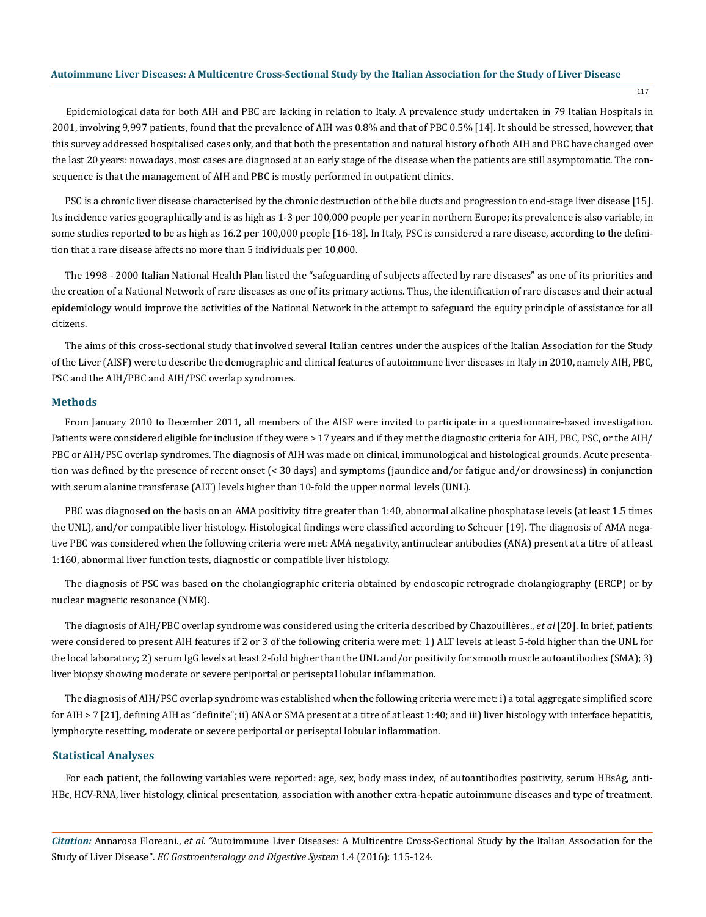117

Epidemiological data for both AIH and PBC are lacking in relation to Italy. A prevalence study undertaken in 79 Italian Hospitals in 2001, involving 9,997 patients, found that the prevalence of AIH was 0.8% and that of PBC 0.5% [14]. It should be stressed, however, that this survey addressed hospitalised cases only, and that both the presentation and natural history of both AIH and PBC have changed over the last 20 years: nowadays, most cases are diagnosed at an early stage of the disease when the patients are still asymptomatic. The consequence is that the management of AIH and PBC is mostly performed in outpatient clinics.

PSC is a chronic liver disease characterised by the chronic destruction of the bile ducts and progression to end-stage liver disease [15]. Its incidence varies geographically and is as high as 1-3 per 100,000 people per year in northern Europe; its prevalence is also variable, in some studies reported to be as high as 16.2 per 100,000 people [16-18]. In Italy, PSC is considered a rare disease, according to the definition that a rare disease affects no more than 5 individuals per 10,000.

The 1998 - 2000 Italian National Health Plan listed the "safeguarding of subjects affected by rare diseases" as one of its priorities and the creation of a National Network of rare diseases as one of its primary actions. Thus, the identification of rare diseases and their actual epidemiology would improve the activities of the National Network in the attempt to safeguard the equity principle of assistance for all citizens.

The aims of this cross-sectional study that involved several Italian centres under the auspices of the Italian Association for the Study of the Liver (AISF) were to describe the demographic and clinical features of autoimmune liver diseases in Italy in 2010, namely AIH, PBC, PSC and the AIH/PBC and AIH/PSC overlap syndromes.

## **Methods**

From January 2010 to December 2011, all members of the AISF were invited to participate in a questionnaire-based investigation. Patients were considered eligible for inclusion if they were > 17 years and if they met the diagnostic criteria for AIH, PBC, PSC, or the AIH/ PBC or AIH/PSC overlap syndromes. The diagnosis of AIH was made on clinical, immunological and histological grounds. Acute presentation was defined by the presence of recent onset (< 30 days) and symptoms (jaundice and/or fatigue and/or drowsiness) in conjunction with serum alanine transferase (ALT) levels higher than 10-fold the upper normal levels (UNL).

PBC was diagnosed on the basis on an AMA positivity titre greater than 1:40, abnormal alkaline phosphatase levels (at least 1.5 times the UNL), and/or compatible liver histology. Histological findings were classified according to Scheuer [19]. The diagnosis of AMA negative PBC was considered when the following criteria were met: AMA negativity, antinuclear antibodies (ANA) present at a titre of at least 1:160, abnormal liver function tests, diagnostic or compatible liver histology.

The diagnosis of PSC was based on the cholangiographic criteria obtained by endoscopic retrograde cholangiography (ERCP) or by nuclear magnetic resonance (NMR).

The diagnosis of AIH/PBC overlap syndrome was considered using the criteria described by Chazouillères., *et al* [20]. In brief, patients were considered to present AIH features if 2 or 3 of the following criteria were met: 1) ALT levels at least 5-fold higher than the UNL for the local laboratory; 2) serum IgG levels at least 2-fold higher than the UNL and/or positivity for smooth muscle autoantibodies (SMA); 3) liver biopsy showing moderate or severe periportal or periseptal lobular inflammation.

The diagnosis of AIH/PSC overlap syndrome was established when the following criteria were met: i) a total aggregate simplified score for AIH > 7 [21], defining AIH as "definite"; ii) ANA or SMA present at a titre of at least 1:40; and iii) liver histology with interface hepatitis, lymphocyte resetting, moderate or severe periportal or periseptal lobular inflammation.

## **Statistical Analyses**

For each patient, the following variables were reported: age, sex, body mass index, of autoantibodies positivity, serum HBsAg, anti-HBc, HCV-RNA, liver histology, clinical presentation, association with another extra-hepatic autoimmune diseases and type of treatment.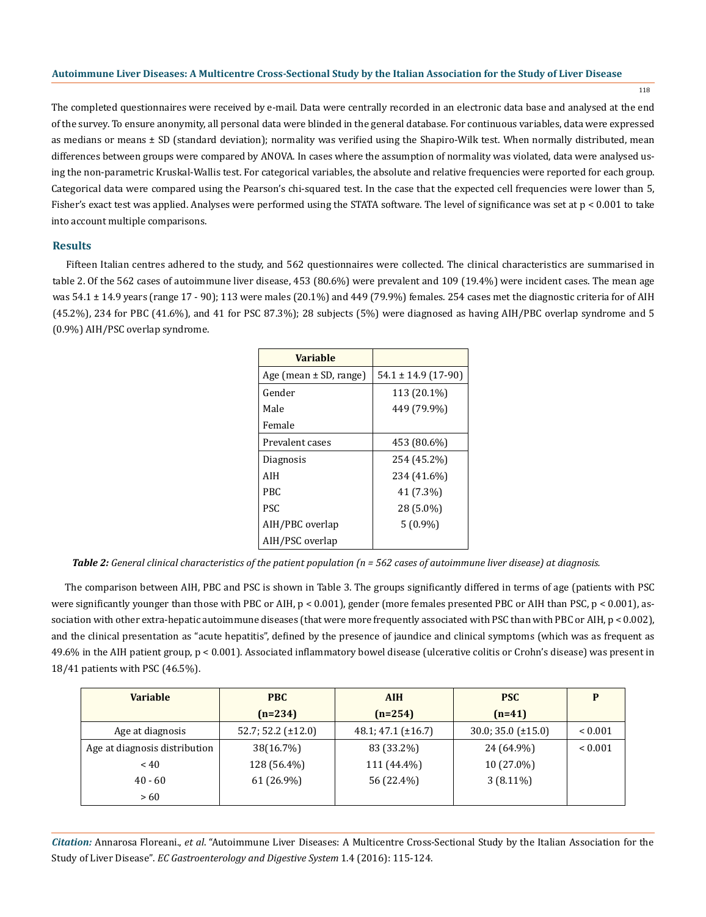118

The completed questionnaires were received by e-mail. Data were centrally recorded in an electronic data base and analysed at the end of the survey. To ensure anonymity, all personal data were blinded in the general database. For continuous variables, data were expressed as medians or means ± SD (standard deviation); normality was verified using the Shapiro-Wilk test. When normally distributed, mean differences between groups were compared by ANOVA. In cases where the assumption of normality was violated, data were analysed using the non-parametric Kruskal-Wallis test. For categorical variables, the absolute and relative frequencies were reported for each group. Categorical data were compared using the Pearson's chi-squared test. In the case that the expected cell frequencies were lower than 5, Fisher's exact test was applied. Analyses were performed using the STATA software. The level of significance was set at p < 0.001 to take into account multiple comparisons.

## **Results**

Fifteen Italian centres adhered to the study, and 562 questionnaires were collected. The clinical characteristics are summarised in table 2. Of the 562 cases of autoimmune liver disease, 453 (80.6%) were prevalent and 109 (19.4%) were incident cases. The mean age was 54.1 ± 14.9 years (range 17 - 90); 113 were males (20.1%) and 449 (79.9%) females. 254 cases met the diagnostic criteria for of AIH (45.2%), 234 for PBC (41.6%), and 41 for PSC 87.3%); 28 subjects (5%) were diagnosed as having AIH/PBC overlap syndrome and 5 (0.9%) AIH/PSC overlap syndrome.

| Variable                   |                         |
|----------------------------|-------------------------|
| Age (mean $\pm$ SD, range) | $54.1 \pm 14.9$ (17-90) |
| Gender                     | 113 (20.1%)             |
| Male                       | 449 (79.9%)             |
| Female                     |                         |
| Prevalent cases            | 453 (80.6%)             |
| Diagnosis                  | 254 (45.2%)             |
| AIH                        | 234 (41.6%)             |
| PRC                        | 41 (7.3%)               |
| PSC.                       | 28 (5.0%)               |
| AIH/PBC overlap            | $5(0.9\%)$              |
| AIH/PSC overlap            |                         |

*Table 2: General clinical characteristics of the patient population (n = 562 cases of autoimmune liver disease) at diagnosis.*

The comparison between AIH, PBC and PSC is shown in Table 3. The groups significantly differed in terms of age (patients with PSC were significantly younger than those with PBC or AIH, p < 0.001), gender (more females presented PBC or AIH than PSC, p < 0.001), association with other extra-hepatic autoimmune diseases (that were more frequently associated with PSC than with PBC or AIH, p < 0.002), and the clinical presentation as "acute hepatitis", defined by the presence of jaundice and clinical symptoms (which was as frequent as 49.6% in the AIH patient group, p < 0.001). Associated inflammatory bowel disease (ulcerative colitis or Crohn's disease) was present in 18/41 patients with PSC (46.5%).

| <b>Variable</b>               | <b>PBC</b>              | <b>AIH</b>              | <b>PSC</b>              | D            |
|-------------------------------|-------------------------|-------------------------|-------------------------|--------------|
|                               | $(n=234)$               | $(n=254)$               | $(n=41)$                |              |
| Age at diagnosis              | $52.7; 52.2 (\pm 12.0)$ | $48.1; 47.1 (\pm 16.7)$ | $30.0; 35.0 (\pm 15.0)$ | ${}_{0.001}$ |
| Age at diagnosis distribution | 38(16.7%)               | 83 (33.2%)              | 24 (64.9%)              | ${}_{0.001}$ |
| $~<$ 40                       | 128 (56.4%)             | 111 (44.4%)             | 10 (27.0%)              |              |
| $40 - 60$                     | 61 (26.9%)              | 56 (22.4%)              | $3(8.11\%)$             |              |
| >60                           |                         |                         |                         |              |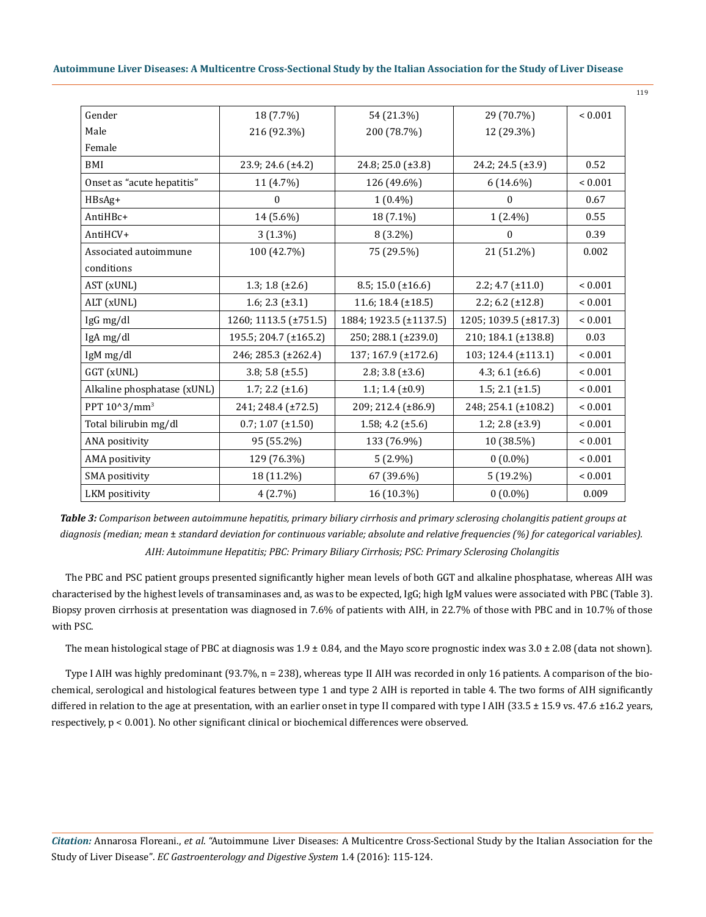| 18 (7.7%)              | 54 (21.3%)              | 29 (70.7%)             | ${}_{0.001}$ |
|------------------------|-------------------------|------------------------|--------------|
| 216 (92.3%)            | 200 (78.7%)             | 12 (29.3%)             |              |
|                        |                         |                        |              |
| $23.9; 24.6 (\pm 4.2)$ | 24.8; 25.0 (±3.8)       | 24.2; 24.5 $(\pm 3.9)$ | 0.52         |
| 11 (4.7%)              | 126 (49.6%)             | $6(14.6\%)$            | ${}_{0.001}$ |
| $\Omega$               | $1(0.4\%)$              | $\mathbf{0}$           | 0.67         |
| 14 (5.6%)              | 18 (7.1%)               | $1(2.4\%)$             | 0.55         |
| $3(1.3\%)$             | 8 (3.2%)                | $\mathbf{0}$           | 0.39         |
| 100 (42.7%)            | 75 (29.5%)              | 21 (51.2%)             | 0.002        |
|                        |                         |                        |              |
| 1.3; 1.8 $(\pm 2.6)$   | 8.5; 15.0 $(\pm 16.6)$  | $2.2; 4.7 (\pm 11.0)$  | ${}< 0.001$  |
| 1.6; 2.3 $(\pm 3.1)$   | 11.6; 18.4 $(\pm 18.5)$ | $2.2; 6.2 (\pm 12.8)$  | ${}< 0.001$  |
| 1260; 1113.5 (±751.5)  | 1884; 1923.5 (±1137.5)  | 1205; 1039.5 (±817.3)  | ${}_{0.001}$ |
| 195.5; 204.7 (±165.2)  | 250; 288.1 (±239.0)     | 210; 184.1 (±138.8)    | 0.03         |
| 246; 285.3 (±262.4)    | 137; 167.9 (±172.6)     | 103; 124.4 (±113.1)    | ${}_{0.001}$ |
| $3.8; 5.8 (\pm 5.5)$   | 2.8; 3.8 $(\pm 3.6)$    | 4.3; 6.1 $(\pm 6.6)$   | ${}< 0.001$  |
| $1.7; 2.2 (\pm 1.6)$   | 1.1; 1.4 $(\pm 0.9)$    | $1.5; 2.1 (\pm 1.5)$   | ${}< 0.001$  |
| 241; 248.4 (±72.5)     | 209; 212.4 (±86.9)      | 248; 254.1 (±108.2)    | ${}_{0.001}$ |
| $0.7; 1.07 (\pm 1.50)$ | 1.58; 4.2 $(\pm 5.6)$   | 1.2; 2.8 $(\pm 3.9)$   | ${}_{0.001}$ |
| 95 (55.2%)             | 133 (76.9%)             | 10 (38.5%)             | ${}_{0.001}$ |
| 129 (76.3%)            | $5(2.9\%)$              | $0(0.0\%)$             | ${}< 0.001$  |
| 18 (11.2%)             | 67 (39.6%)              | $5(19.2\%)$            | ${}< 0.001$  |
| 4(2.7%)                | 16 (10.3%)              | $0(0.0\%)$             | 0.009        |
|                        |                         |                        |              |

*AIH: Autoimmune Hepatitis; PBC: Primary Biliary Cirrhosis; PSC: Primary Sclerosing Cholangitis Table 3: Comparison between autoimmune hepatitis, primary biliary cirrhosis and primary sclerosing cholangitis patient groups at diagnosis (median; mean* ± *standard deviation for continuous variable; absolute and relative frequencies (%) for categorical variables).* 

The PBC and PSC patient groups presented significantly higher mean levels of both GGT and alkaline phosphatase, whereas AIH was characterised by the highest levels of transaminases and, as was to be expected, IgG; high IgM values were associated with PBC (Table 3). Biopsy proven cirrhosis at presentation was diagnosed in 7.6% of patients with AIH, in 22.7% of those with PBC and in 10.7% of those with PSC.

The mean histological stage of PBC at diagnosis was  $1.9 \pm 0.84$ , and the Mayo score prognostic index was  $3.0 \pm 2.08$  (data not shown).

Type I AIH was highly predominant (93.7%, n = 238), whereas type II AIH was recorded in only 16 patients. A comparison of the biochemical, serological and histological features between type 1 and type 2 AIH is reported in table 4. The two forms of AIH significantly differed in relation to the age at presentation, with an earlier onset in type II compared with type I AIH (33.5  $\pm$  15.9 vs. 47.6  $\pm$ 16.2 years, respectively, p < 0.001). No other significant clinical or biochemical differences were observed.

*Citation:* Annarosa Floreani., *et al*. "Autoimmune Liver Diseases: A Multicentre Cross-Sectional Study by the Italian Association for the Study of Liver Disease". *EC Gastroenterology and Digestive System* 1.4 (2016): 115-124.

119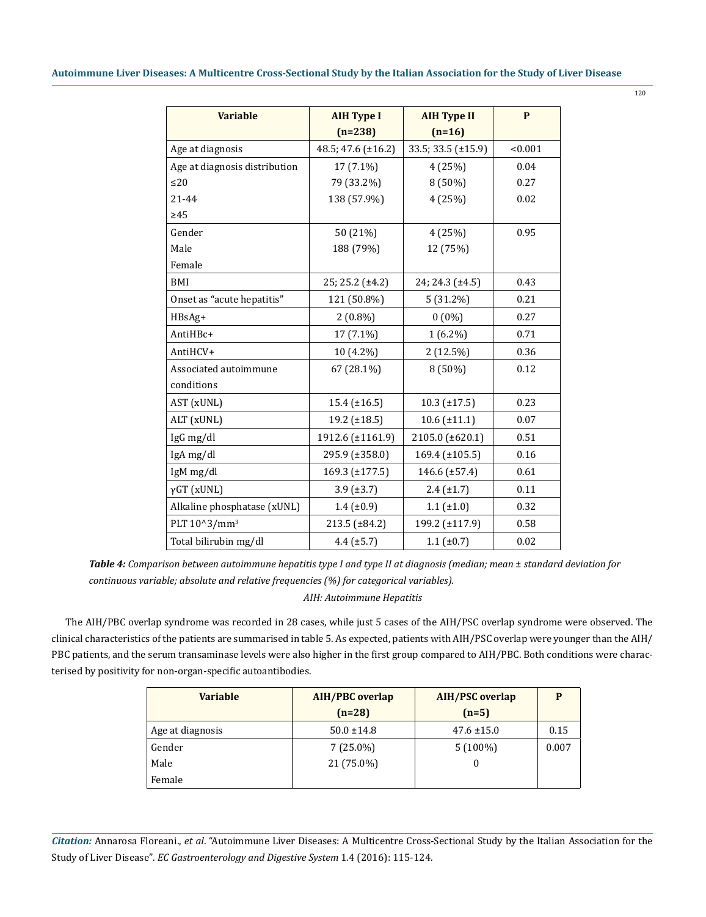| <b>Variable</b>               | <b>AIH Type I</b>   | <b>AIH Type II</b>  | P       |
|-------------------------------|---------------------|---------------------|---------|
|                               | $(n=238)$           | $(n=16)$            |         |
| Age at diagnosis              | 48.5; 47.6 (±16.2)  | 33.5; 33.5 (±15.9)  | < 0.001 |
| Age at diagnosis distribution | 17 (7.1%)           | 4(25%)              | 0.04    |
| $\leq$ 20                     | 79 (33.2%)          | 8 (50%)             | 0.27    |
| $21 - 44$                     | 138 (57.9%)         | 4 (25%)             | 0.02    |
| $\geq 45$                     |                     |                     |         |
| Gender                        | 50 (21%)            | 4(25%)              | 0.95    |
| Male                          | 188 (79%)           | 12 (75%)            |         |
| Female                        |                     |                     |         |
| BMI                           | 25; 25.2 (±4.2)     | 24; 24.3 (±4.5)     | 0.43    |
| Onset as "acute hepatitis"    | 121 (50.8%)         | $5(31.2\%)$         | 0.21    |
| HBsAg+                        | $2(0.8\%)$          | $0(0\%)$            | 0.27    |
| AntiHBc+                      | 17 (7.1%)           | $1(6.2\%)$          | 0.71    |
| AntiHCV+                      | 10 (4.2%)           | $2(12.5\%)$         | 0.36    |
| Associated autoimmune         | 67 (28.1%)          | 8 (50%)             | 0.12    |
| conditions                    |                     |                     |         |
| AST (xUNL)                    | $15.4 \ (\pm 16.5)$ | $10.3 \ (\pm 17.5)$ | 0.23    |
| ALT (xUNL)                    | 19.2 (±18.5)        | $10.6 \ (\pm 11.1)$ | 0.07    |
| IgG mg/dl                     | 1912.6 (±1161.9)    | 2105.0 (±620.1)     | 0.51    |
| IgA mg/dl                     | 295.9 (±358.0)      | 169.4 (±105.5)      | 0.16    |
| IgM mg/dl                     | 169.3 (±177.5)      | 146.6 (±57.4)       | 0.61    |
| $\gamma$ GT (xUNL)            | $3.9$ ( $\pm 3.7$ ) | $2.4 \ (\pm 1.7)$   | 0.11    |
| Alkaline phosphatase (xUNL)   | $1.4 \ (\pm 0.9)$   | $1.1$ ( $\pm 1.0$ ) | 0.32    |
| PLT 10^3/mm <sup>3</sup>      | 213.5 (±84.2)       | 199.2 (±117.9)      | 0.58    |
| Total bilirubin mg/dl         | $4.4 \ (\pm 5.7)$   | 1.1 (±0.7)          | 0.02    |

*Table 4: Comparison between autoimmune hepatitis type I and type II at diagnosis (median; mean ± standard deviation for continuous variable; absolute and relative frequencies (%) for categorical variables).*

## *AIH: Autoimmune Hepatitis*

The AIH/PBC overlap syndrome was recorded in 28 cases, while just 5 cases of the AIH/PSC overlap syndrome were observed. The clinical characteristics of the patients are summarised in table 5. As expected, patients with AIH/PSC overlap were younger than the AIH/ PBC patients, and the serum transaminase levels were also higher in the first group compared to AIH/PBC. Both conditions were characterised by positivity for non-organ-specific autoantibodies.

| <b>Variable</b>  | <b>AIH/PBC</b> overlap | <b>AIH/PSC</b> overlap | D     |
|------------------|------------------------|------------------------|-------|
|                  | $(n=28)$               | $(n=5)$                |       |
| Age at diagnosis | $50.0 \pm 14.8$        | $47.6 \pm 15.0$        | 0.15  |
| Gender           | $7(25.0\%)$            | $5(100\%)$             | 0.007 |
| Male             | 21 (75.0%)             | O                      |       |
| Female           |                        |                        |       |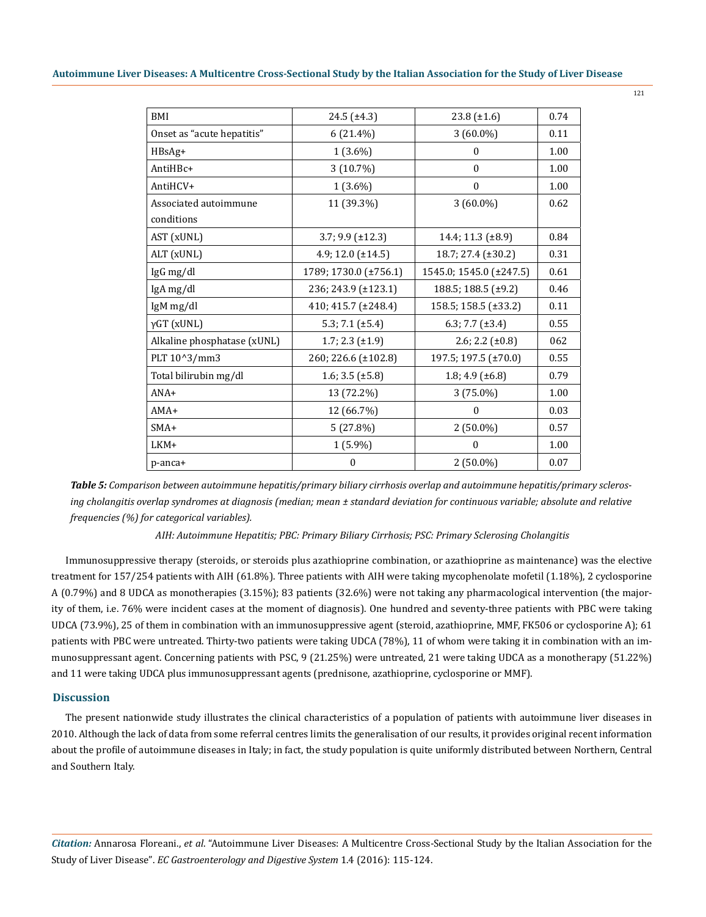| <b>BMI</b>                  | $24.5 \ (\pm 4.3)$     | $23.8 \ (\pm 1.6)$       | 0.74 |
|-----------------------------|------------------------|--------------------------|------|
| Onset as "acute hepatitis"  | $6(21.4\%)$            | $3(60.0\%)$              | 0.11 |
| HBsAg+                      | $1(3.6\%)$             | $\mathbf{0}$             | 1.00 |
| AntiHBc+                    | 3 (10.7%)              | $\Omega$                 | 1.00 |
| AntiHCV+                    | $1(3.6\%)$             | $\Omega$                 | 1.00 |
| Associated autoimmune       | 11 (39.3%)             | $3(60.0\%)$              | 0.62 |
| conditions                  |                        |                          |      |
| AST (xUNL)                  | $3.7; 9.9 (\pm 12.3)$  | 14.4; 11.3 (±8.9)        | 0.84 |
| ALT (xUNL)                  | 4.9; 12.0 $(\pm 14.5)$ | 18.7; 27.4 (±30.2)       | 0.31 |
| IgG mg/dl                   | 1789; 1730.0 (±756.1)  | 1545.0; 1545.0 (±247.5)  | 0.61 |
| IgA mg/dl                   | 236; 243.9 (±123.1)    | 188.5; 188.5 $(\pm 9.2)$ | 0.46 |
| IgM mg/dl                   | 410; 415.7 (±248.4)    | 158.5; 158.5 (±33.2)     | 0.11 |
| $\gamma$ GT (xUNL)          | 5.3; 7.1 $(\pm 5.4)$   | 6.3; 7.7 $(\pm 3.4)$     | 0.55 |
| Alkaline phosphatase (xUNL) | 1.7; 2.3 $(\pm 1.9)$   | $2.6; 2.2 (\pm 0.8)$     | 062  |
| PLT 10^3/mm3                | 260; 226.6 (±102.8)    | 197.5; 197.5 (±70.0)     | 0.55 |
| Total bilirubin mg/dl       | 1.6; 3.5 $(\pm 5.8)$   | 1.8; 4.9 $(\pm 6.8)$     | 0.79 |
| $ANA+$                      | 13 (72.2%)             | 3 (75.0%)                | 1.00 |
| $AMA+$                      | 12 (66.7%)             | $\Omega$                 | 0.03 |
| $SMA+$                      | 5(27.8%)               | $2(50.0\%)$              | 0.57 |
| LKM+                        | $1(5.9\%)$             | 0                        | 1.00 |
| p-anca+                     | $\Omega$               | $2(50.0\%)$              | 0.07 |
|                             |                        |                          |      |

*Table 5: Comparison between autoimmune hepatitis/primary biliary cirrhosis overlap and autoimmune hepatitis/primary sclerosing cholangitis overlap syndromes at diagnosis (median; mean ± standard deviation for continuous variable; absolute and relative frequencies (%) for categorical variables).*

*AIH: Autoimmune Hepatitis; PBC: Primary Biliary Cirrhosis; PSC: Primary Sclerosing Cholangitis* 

Immunosuppressive therapy (steroids, or steroids plus azathioprine combination, or azathioprine as maintenance) was the elective treatment for 157/254 patients with AIH (61.8%). Three patients with AIH were taking mycophenolate mofetil (1.18%), 2 cyclosporine A (0.79%) and 8 UDCA as monotherapies (3.15%); 83 patients (32.6%) were not taking any pharmacological intervention (the majority of them, i.e. 76% were incident cases at the moment of diagnosis). One hundred and seventy-three patients with PBC were taking UDCA (73.9%), 25 of them in combination with an immunosuppressive agent (steroid, azathioprine, MMF, FK506 or cyclosporine A); 61 patients with PBC were untreated. Thirty-two patients were taking UDCA (78%), 11 of whom were taking it in combination with an immunosuppressant agent. Concerning patients with PSC, 9 (21.25%) were untreated, 21 were taking UDCA as a monotherapy (51.22%) and 11 were taking UDCA plus immunosuppressant agents (prednisone, azathioprine, cyclosporine or MMF).

## **Discussion**

The present nationwide study illustrates the clinical characteristics of a population of patients with autoimmune liver diseases in 2010. Although the lack of data from some referral centres limits the generalisation of our results, it provides original recent information about the profile of autoimmune diseases in Italy; in fact, the study population is quite uniformly distributed between Northern, Central and Southern Italy.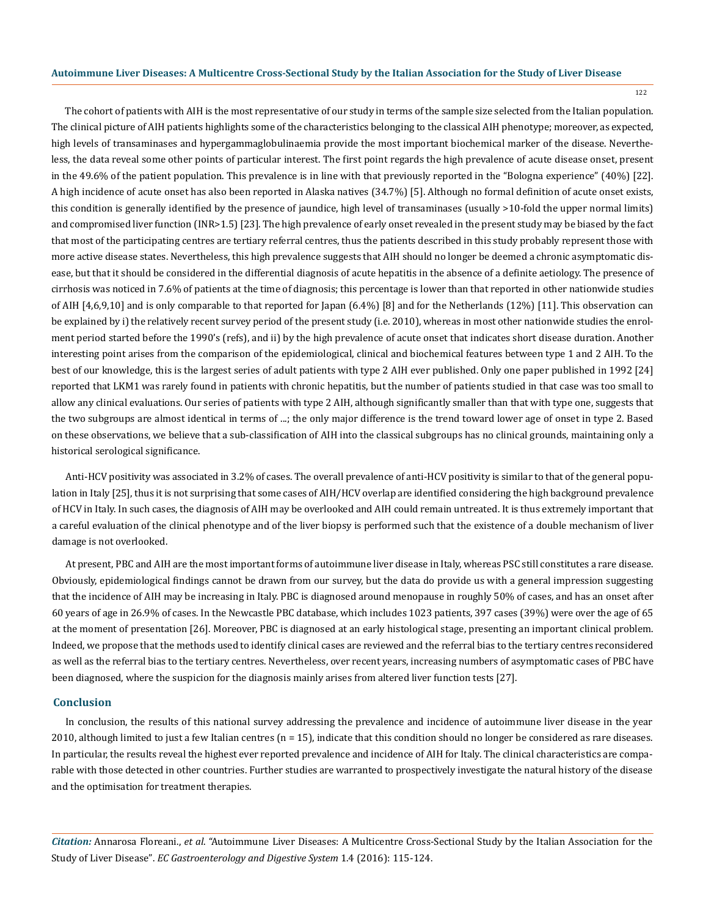122

The cohort of patients with AIH is the most representative of our study in terms of the sample size selected from the Italian population. The clinical picture of AIH patients highlights some of the characteristics belonging to the classical AIH phenotype; moreover, as expected, high levels of transaminases and hypergammaglobulinaemia provide the most important biochemical marker of the disease. Nevertheless, the data reveal some other points of particular interest. The first point regards the high prevalence of acute disease onset, present in the 49.6% of the patient population. This prevalence is in line with that previously reported in the "Bologna experience" (40%) [22]. A high incidence of acute onset has also been reported in Alaska natives (34.7%) [5]. Although no formal definition of acute onset exists, this condition is generally identified by the presence of jaundice, high level of transaminases (usually >10-fold the upper normal limits) and compromised liver function (INR>1.5) [23]. The high prevalence of early onset revealed in the present study may be biased by the fact that most of the participating centres are tertiary referral centres, thus the patients described in this study probably represent those with more active disease states. Nevertheless, this high prevalence suggests that AIH should no longer be deemed a chronic asymptomatic disease, but that it should be considered in the differential diagnosis of acute hepatitis in the absence of a definite aetiology. The presence of cirrhosis was noticed in 7.6% of patients at the time of diagnosis; this percentage is lower than that reported in other nationwide studies of AIH [4,6,9,10] and is only comparable to that reported for Japan (6.4%) [8] and for the Netherlands (12%) [11]. This observation can be explained by i) the relatively recent survey period of the present study (i.e. 2010), whereas in most other nationwide studies the enrolment period started before the 1990's (refs), and ii) by the high prevalence of acute onset that indicates short disease duration. Another interesting point arises from the comparison of the epidemiological, clinical and biochemical features between type 1 and 2 AIH. To the best of our knowledge, this is the largest series of adult patients with type 2 AIH ever published. Only one paper published in 1992 [24] reported that LKM1 was rarely found in patients with chronic hepatitis, but the number of patients studied in that case was too small to allow any clinical evaluations. Our series of patients with type 2 AIH, although significantly smaller than that with type one, suggests that the two subgroups are almost identical in terms of ...; the only major difference is the trend toward lower age of onset in type 2. Based on these observations, we believe that a sub-classification of AIH into the classical subgroups has no clinical grounds, maintaining only a historical serological significance.

Anti-HCV positivity was associated in 3.2% of cases. The overall prevalence of anti-HCV positivity is similar to that of the general population in Italy [25], thus it is not surprising that some cases of AIH/HCV overlap are identified considering the high background prevalence of HCV in Italy. In such cases, the diagnosis of AIH may be overlooked and AIH could remain untreated. It is thus extremely important that a careful evaluation of the clinical phenotype and of the liver biopsy is performed such that the existence of a double mechanism of liver damage is not overlooked.

At present, PBC and AIH are the most important forms of autoimmune liver disease in Italy, whereas PSC still constitutes a rare disease. Obviously, epidemiological findings cannot be drawn from our survey, but the data do provide us with a general impression suggesting that the incidence of AIH may be increasing in Italy. PBC is diagnosed around menopause in roughly 50% of cases, and has an onset after 60 years of age in 26.9% of cases. In the Newcastle PBC database, which includes 1023 patients, 397 cases (39%) were over the age of 65 at the moment of presentation [26]. Moreover, PBC is diagnosed at an early histological stage, presenting an important clinical problem. Indeed, we propose that the methods used to identify clinical cases are reviewed and the referral bias to the tertiary centres reconsidered as well as the referral bias to the tertiary centres. Nevertheless, over recent years, increasing numbers of asymptomatic cases of PBC have been diagnosed, where the suspicion for the diagnosis mainly arises from altered liver function tests [27].

#### **Conclusion**

In conclusion, the results of this national survey addressing the prevalence and incidence of autoimmune liver disease in the year 2010, although limited to just a few Italian centres  $(n = 15)$ , indicate that this condition should no longer be considered as rare diseases. In particular, the results reveal the highest ever reported prevalence and incidence of AIH for Italy. The clinical characteristics are comparable with those detected in other countries. Further studies are warranted to prospectively investigate the natural history of the disease and the optimisation for treatment therapies.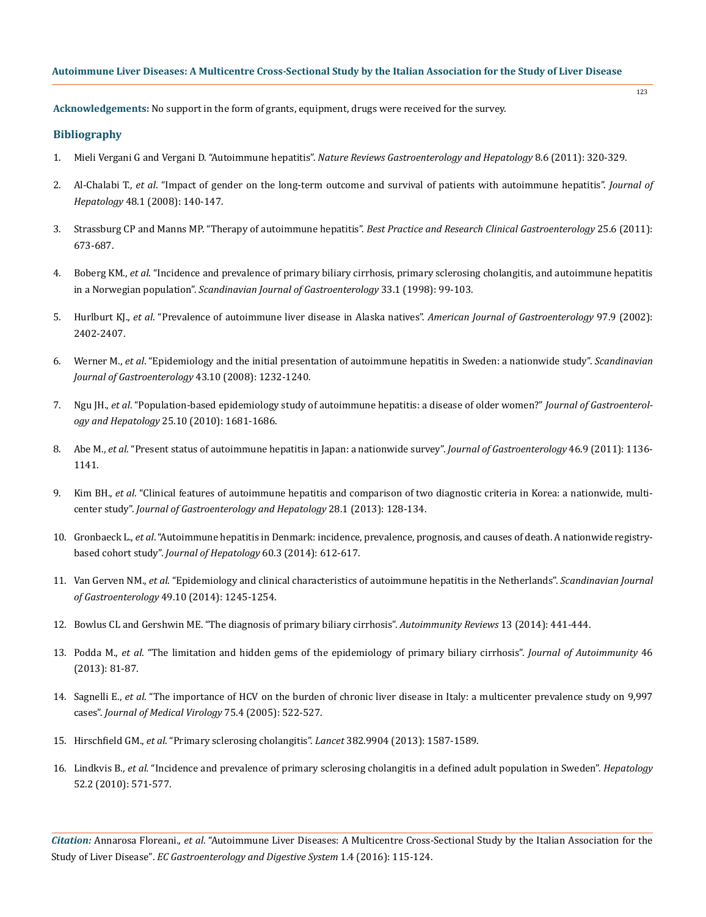**Acknowledgements:** No support in the form of grants, equipment, drugs were received for the survey.

## **Bibliography**

- 1. Mieli Vergani G and Vergani D. "Autoimmune hepatitis". *[Nature Reviews Gastroenterology and Hepatology](https://www.ncbi.nlm.nih.gov/pubmed/21537351)* 8.6 (2011): 320-329.
- 2. Al-Chalabi T., *et al*[. "Impact of gender on the long-term outcome and survival of patients with autoimmune hepatitis".](https://www.ncbi.nlm.nih.gov/pubmed/18023911) *Journal of Hepatology* [48.1 \(2008\): 140-147.](https://www.ncbi.nlm.nih.gov/pubmed/18023911)

123

- 3. [Strassburg CP and Manns MP. "Therapy of autoimmune hepatitis".](https://www.ncbi.nlm.nih.gov/pubmed/22117634) *Best Practice and Research Clinical Gastroenterology* 25.6 (2011): [673-687.](https://www.ncbi.nlm.nih.gov/pubmed/22117634)
- 4. Boberg KM., *et al*[. "Incidence and prevalence of primary biliary cirrhosis, primary sclerosing cholangitis, and autoimmune hepatitis](https://www.ncbi.nlm.nih.gov/pubmed/9489916) in a Norwegian population". *[Scandinavian Journal of Gastroenterology](https://www.ncbi.nlm.nih.gov/pubmed/9489916)* 33.1 (1998): 99-103.
- 5. Hurlburt KJ., *et al*[. "Prevalence of autoimmune liver disease in Alaska natives".](https://www.ncbi.nlm.nih.gov/pubmed/12358264) *American Journal of Gastroenterology* 97.9 (2002): [2402-2407.](https://www.ncbi.nlm.nih.gov/pubmed/12358264)
- 6. Werner M., *et al*[. "Epidemiology and the initial presentation of autoimmune hepatitis in Sweden: a nationwide study".](https://www.ncbi.nlm.nih.gov/pubmed/18609163) *Scandinavian [Journal of Gastroenterology](https://www.ncbi.nlm.nih.gov/pubmed/18609163)* 43.10 (2008): 1232-1240.
- 7. Ngu JH., *et al*[. "Population-based epidemiology study of autoimmune hepatitis: a disease of older women?"](https://www.ncbi.nlm.nih.gov/pubmed/20880179) *Journal of Gastroenterology and Hepatology* [25.10 \(2010\): 1681-1686.](https://www.ncbi.nlm.nih.gov/pubmed/20880179)
- 8. Abe M., *et al*[. "Present status of autoimmune hepatitis in Japan: a nationwide survey".](https://www.ncbi.nlm.nih.gov/pubmed/21597932) *Journal of Gastroenterology* 46.9 (2011): 1136- [1141.](https://www.ncbi.nlm.nih.gov/pubmed/21597932)
- 9. Kim BH., *et al*[. "Clinical features of autoimmune hepatitis and comparison of two diagnostic criteria in Korea: a nationwide, multi](https://www.ncbi.nlm.nih.gov/pubmed/23033899)center study". *[Journal of Gastroenterology and Hepatology](https://www.ncbi.nlm.nih.gov/pubmed/23033899)* 28.1 (2013): 128-134.
- 10. Gronbaeck L., *et al*[. "Autoimmune hepatitis in Denmark: incidence, prevalence, prognosis, and causes of death. A nationwide registry](https://www.ncbi.nlm.nih.gov/pubmed/24326217)based cohort study". *[Journal of Hepatology](https://www.ncbi.nlm.nih.gov/pubmed/24326217)* 60.3 (2014): 612-617.
- 11. Van Gerven NM., *et al*[. "Epidemiology and clinical characteristics of autoimmune hepatitis in the Netherlands".](https://www.ncbi.nlm.nih.gov/pubmed/25123213) *Scandinavian Journal of Gastroenterology* [49.10 \(2014\): 1245-1254.](https://www.ncbi.nlm.nih.gov/pubmed/25123213)
- 12. [Bowlus CL and Gershwin ME. "The diagnosis of primary biliary cirrhosis".](https://www.ncbi.nlm.nih.gov/pmc/articles/PMC3987745/) *Autoimmunity Reviews* 13 (2014): 441-444.
- 13. Podda M., *et al*[. "The limitation and hidden gems of the epidemiology of primary biliary cirrhosis".](https://www.ncbi.nlm.nih.gov/pubmed/23871640) *Journal of Autoimmunity* 46 [\(2013\): 81-87.](https://www.ncbi.nlm.nih.gov/pubmed/23871640)
- 14. Sagnelli E., *et al*[. "The importance of HCV on the burden of chronic liver disease in Italy: a multicenter prevalence study on 9,997](https://www.ncbi.nlm.nih.gov/pubmed/15714480) cases". *[Journal of Medical Virology](https://www.ncbi.nlm.nih.gov/pubmed/15714480)* 75.4 (2005): 522-527.
- 15. Hirschfield GM., *et al*[. "Primary sclerosing cholangitis".](https://www.ncbi.nlm.nih.gov/pubmed/23810223) *Lancet* 382.9904 (2013): 1587-1589.
- 16. Lindkvis B., *et al.* ["Incidence and prevalence of primary sclerosing cholangitis in a defined adult population in Sweden".](https://www.ncbi.nlm.nih.gov/pubmed/20683956) *Hepatology* [52.2 \(2010\): 571-577.](https://www.ncbi.nlm.nih.gov/pubmed/20683956)